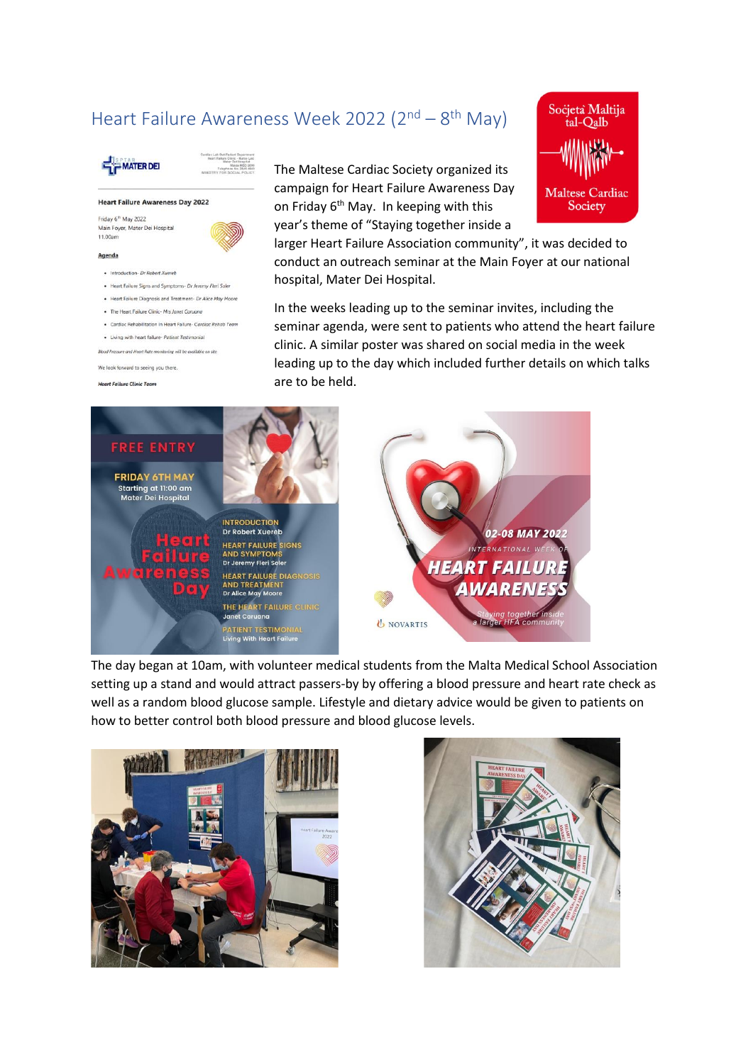# Heart Failure Awareness Week 2022 (2<sup>nd</sup> – 8<sup>th</sup> May)



## **Heart Failure Awareness Day 2022**

Friday 6<sup>th</sup> May 2022 Main Foyer, Mater Dei Hospital 11.00am

#### Agenda

- · Introduction- Dr Robert Xueret
- · Heart Failure Signs and Symptoms- Dr Jeremy Fleri Soler
- · Heart Failure Diagnosis and Treatment- Dr Alice May Moore
- . The Heart Failure Clinic- Mrs Janet Caruano
- · Cardiac Rehabilitation in Heart Failure- Cardiac Rehab Team
- · Living with heart failure- Patient Testimonial

.<br>sure and Heart Rate monitoring will be available on site

We look forward to seeing you there.

### **Heart Failure Clinic Team**

# The Maltese Cardiac Society organized its campaign for Heart Failure Awareness Day on Friday 6<sup>th</sup> May. In keeping with this year's theme of "Staying together inside a

larger Heart Failure Association community", it was decided to conduct an outreach seminar at the Main Foyer at our national hospital, Mater Dei Hospital.

Socjetà Maltija tal-Qalb

**Maltese Cardiac** 

Society

In the weeks leading up to the seminar invites, including the seminar agenda, were sent to patients who attend the heart failure clinic. A similar poster was shared on social media in the week leading up to the day which included further details on which talks are to be held.



The day began at 10am, with volunteer medical students from the Malta Medical School Association setting up a stand and would attract passers-by by offering a blood pressure and heart rate check as well as a random blood glucose sample. Lifestyle and dietary advice would be given to patients on how to better control both blood pressure and blood glucose levels.



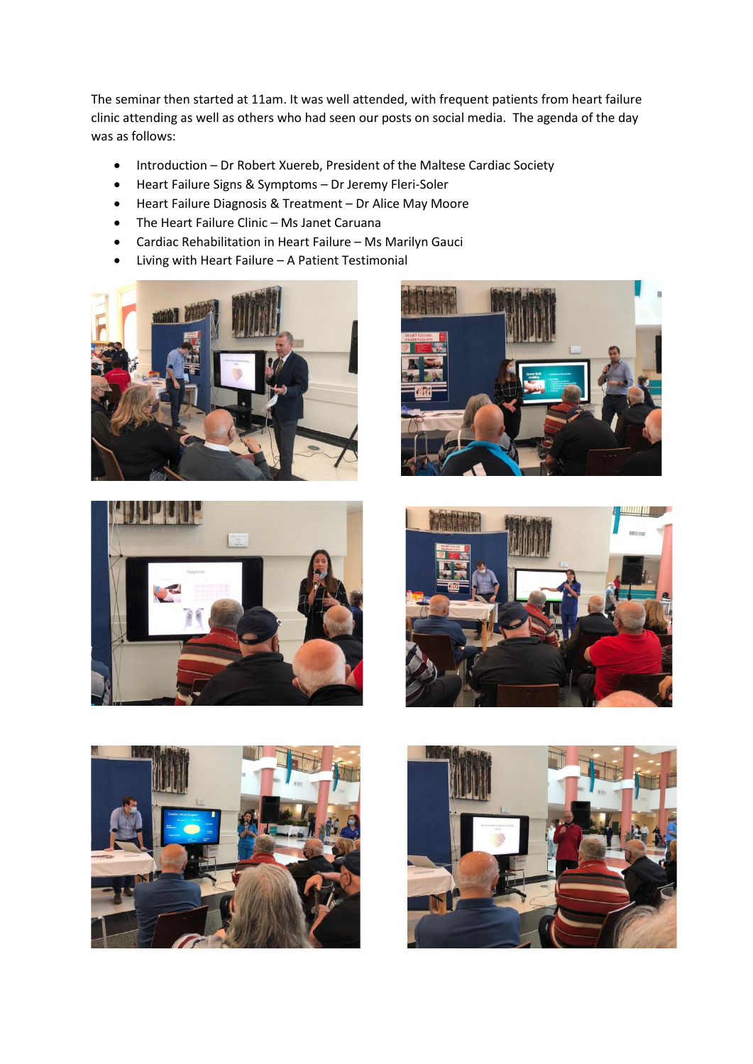The seminar then started at 11am. It was well attended, with frequent patients from heart failure clinic attending as well as others who had seen our posts on social media. The agenda of the day was as follows:

- Introduction Dr Robert Xuereb, President of the Maltese Cardiac Society
- Heart Failure Signs & Symptoms Dr Jeremy Fleri-Soler
- Heart Failure Diagnosis & Treatment Dr Alice May Moore
- The Heart Failure Clinic Ms Janet Caruana
- Cardiac Rehabilitation in Heart Failure Ms Marilyn Gauci
- Living with Heart Failure A Patient Testimonial